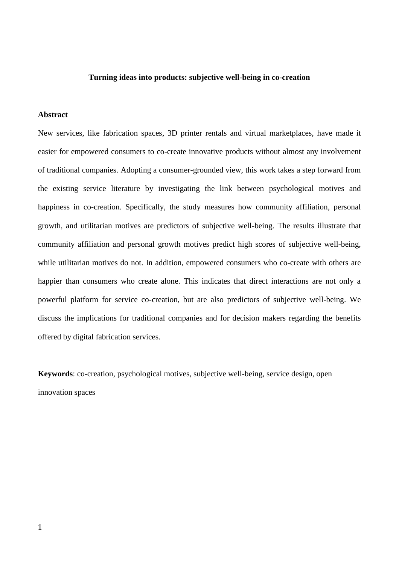## **Turning ideas into products: subjective well-being in co-creation**

## **Abstract**

New services, like fabrication spaces, 3D printer rentals and virtual marketplaces, have made it easier for empowered consumers to co-create innovative products without almost any involvement of traditional companies. Adopting a consumer-grounded view, this work takes a step forward from the existing service literature by investigating the link between psychological motives and happiness in co-creation. Specifically, the study measures how community affiliation, personal growth, and utilitarian motives are predictors of subjective well-being. The results illustrate that community affiliation and personal growth motives predict high scores of subjective well-being, while utilitarian motives do not. In addition, empowered consumers who co-create with others are happier than consumers who create alone. This indicates that direct interactions are not only a powerful platform for service co-creation, but are also predictors of subjective well-being. We discuss the implications for traditional companies and for decision makers regarding the benefits offered by digital fabrication services.

**Keywords**: co-creation, psychological motives, subjective well-being, service design, open innovation spaces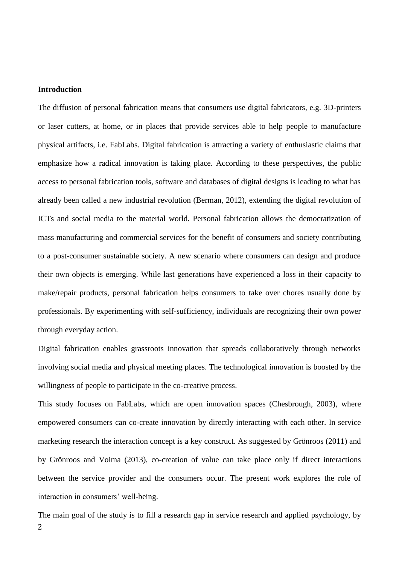#### **Introduction**

The diffusion of personal fabrication means that consumers use digital fabricators, e.g. 3D-printers or laser cutters, at home, or in places that provide services able to help people to manufacture physical artifacts, i.e. FabLabs. Digital fabrication is attracting a variety of enthusiastic claims that emphasize how a radical innovation is taking place. According to these perspectives, the public access to personal fabrication tools, software and databases of digital designs is leading to what has already been called a new industrial revolution (Berman, 2012), extending the digital revolution of ICTs and social media to the material world. Personal fabrication allows the democratization of mass manufacturing and commercial services for the benefit of consumers and society contributing to a post-consumer sustainable society. A new scenario where consumers can design and produce their own objects is emerging. While last generations have experienced a loss in their capacity to make/repair products, personal fabrication helps consumers to take over chores usually done by professionals. By experimenting with self-sufficiency, individuals are recognizing their own power through everyday action.

Digital fabrication enables grassroots innovation that spreads collaboratively through networks involving social media and physical meeting places. The technological innovation is boosted by the willingness of people to participate in the co-creative process.

This study focuses on FabLabs, which are open innovation spaces (Chesbrough, 2003), where empowered consumers can co-create innovation by directly interacting with each other. In service marketing research the interaction concept is a key construct. As suggested by Grönroos (2011) and by Grönroos and Voima (2013), co-creation of value can take place only if direct interactions between the service provider and the consumers occur. The present work explores the role of interaction in consumers' well-being.

2 The main goal of the study is to fill a research gap in service research and applied psychology, by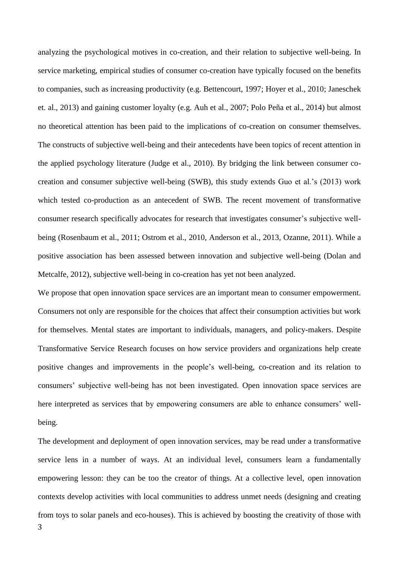analyzing the psychological motives in co-creation, and their relation to subjective well-being. In service marketing, empirical studies of consumer co-creation have typically focused on the benefits to companies, such as increasing productivity (e.g. Bettencourt, 1997; Hoyer et al., 2010; Janeschek et. al., 2013) and gaining customer loyalty (e.g. Auh et al., 2007; Polo Peña et al., 2014) but almost no theoretical attention has been paid to the implications of co-creation on consumer themselves. The constructs of subjective well-being and their antecedents have been topics of recent attention in the applied psychology literature (Judge et al., 2010). By bridging the link between consumer cocreation and consumer subjective well-being (SWB), this study extends Guo et al.'s (2013) work which tested co-production as an antecedent of SWB. The recent movement of transformative consumer research specifically advocates for research that investigates consumer's subjective wellbeing (Rosenbaum et al., 2011; Ostrom et al., 2010, Anderson et al., 2013, Ozanne, 2011). While a positive association has been assessed between innovation and subjective well-being (Dolan and Metcalfe, 2012), subjective well-being in co-creation has yet not been analyzed.

We propose that open innovation space services are an important mean to consumer empowerment. Consumers not only are responsible for the choices that affect their consumption activities but work for themselves. Mental states are important to individuals, managers, and policy-makers. Despite Transformative Service Research focuses on how service providers and organizations help create positive changes and improvements in the people's well-being, co-creation and its relation to consumers' subjective well-being has not been investigated. Open innovation space services are here interpreted as services that by empowering consumers are able to enhance consumers' wellbeing.

3 The development and deployment of open innovation services, may be read under a transformative service lens in a number of ways. At an individual level, consumers learn a fundamentally empowering lesson: they can be too the creator of things. At a collective level, open innovation contexts develop activities with local communities to address unmet needs (designing and creating from toys to solar panels and eco-houses). This is achieved by boosting the creativity of those with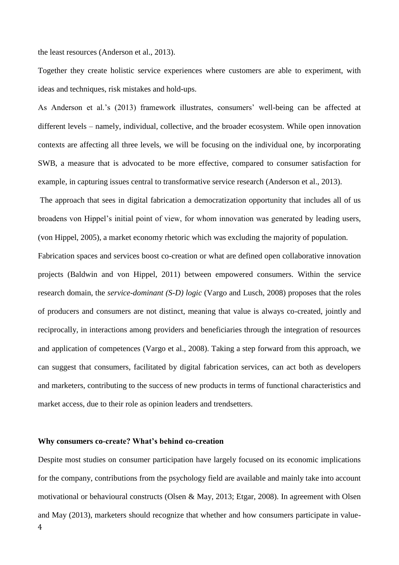the least resources (Anderson et al., 2013).

Together they create holistic service experiences where customers are able to experiment, with ideas and techniques, risk mistakes and hold-ups.

As Anderson et al.'s (2013) framework illustrates, consumers' well-being can be affected at different levels – namely, individual, collective, and the broader ecosystem. While open innovation contexts are affecting all three levels, we will be focusing on the individual one, by incorporating SWB, a measure that is advocated to be more effective, compared to consumer satisfaction for example, in capturing issues central to transformative service research (Anderson et al., 2013).

The approach that sees in digital fabrication a democratization opportunity that includes all of us broadens von Hippel's initial point of view, for whom innovation was generated by leading users, (von Hippel, 2005), a market economy rhetoric which was excluding the majority of population.

Fabrication spaces and services boost co-creation or what are defined open collaborative innovation projects (Baldwin and von Hippel, 2011) between empowered consumers. Within the service research domain, the *service-dominant (S-D) logic* (Vargo and Lusch, 2008) proposes that the roles of producers and consumers are not distinct, meaning that value is always co-created, jointly and reciprocally, in interactions among providers and beneficiaries through the integration of resources and application of competences (Vargo et al., 2008). Taking a step forward from this approach, we can suggest that consumers, facilitated by digital fabrication services, can act both as developers and marketers, contributing to the success of new products in terms of functional characteristics and market access, due to their role as opinion leaders and trendsetters.

#### **Why consumers co-create? What's behind co-creation**

4 Despite most studies on consumer participation have largely focused on its economic implications for the company, contributions from the psychology field are available and mainly take into account motivational or behavioural constructs (Olsen & May, 2013; Etgar, 2008). In agreement with Olsen and May (2013), marketers should recognize that whether and how consumers participate in value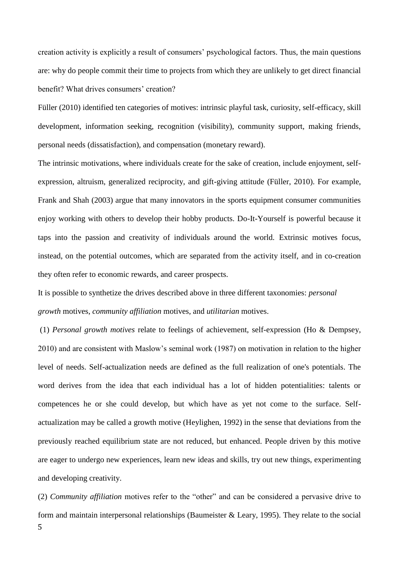creation activity is explicitly a result of consumers' psychological factors. Thus, the main questions are: why do people commit their time to projects from which they are unlikely to get direct financial benefit? What drives consumers' creation?

Füller (2010) identified ten categories of motives: intrinsic playful task, curiosity, self-efficacy, skill development, information seeking, recognition (visibility), community support, making friends, personal needs (dissatisfaction), and compensation (monetary reward).

The intrinsic motivations, where individuals create for the sake of creation, include enjoyment, selfexpression, altruism, generalized reciprocity, and gift-giving attitude (Füller, 2010). For example, Frank and Shah (2003) argue that many innovators in the sports equipment consumer communities enjoy working with others to develop their hobby products. Do-It-Yourself is powerful because it taps into the passion and creativity of individuals around the world. Extrinsic motives focus, instead, on the potential outcomes, which are separated from the activity itself, and in co-creation they often refer to economic rewards, and career prospects.

It is possible to synthetize the drives described above in three different taxonomies: *personal growth* motives, *community affiliation* motives, and *utilitarian* motives.

(1) *Personal growth motives* relate to feelings of achievement, self-expression (Ho & Dempsey, 2010) and are consistent with Maslow's seminal work (1987) on motivation in relation to the higher level of needs. Self-actualization needs are defined as the full realization of one's potentials. The word derives from the idea that each individual has a lot of hidden potentialities: talents or competences he or she could develop, but which have as yet not come to the surface. Selfactualization may be called a growth motive (Heylighen, 1992) in the sense that deviations from the previously reached equilibrium state are not reduced, but enhanced. People driven by this motive are eager to undergo new experiences, learn new ideas and skills, try out new things, experimenting and developing creativity.

5 (2) *Community affiliation* motives refer to the "other" and can be considered a pervasive drive to form and maintain interpersonal relationships (Baumeister & Leary, 1995). They relate to the social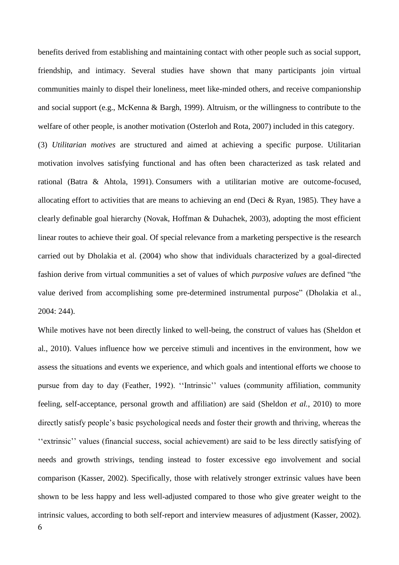benefits derived from establishing and maintaining contact with other people such as social support, friendship, and intimacy. Several studies have shown that many participants join virtual communities mainly to dispel their loneliness, meet like-minded others, and receive companionship and social support (e.g., McKenna & Bargh, 1999). Altruism, or the willingness to contribute to the welfare of other people, is another motivation (Osterloh and Rota, 2007) included in this category.

(3) *Utilitarian motives* are structured and aimed at achieving a specific purpose. Utilitarian motivation involves satisfying functional and has often been characterized as task related and rational (Batra & Ahtola, 1991). Consumers with a utilitarian motive are outcome-focused, allocating effort to activities that are means to achieving an end (Deci & Ryan, 1985). They have a clearly definable goal hierarchy (Novak, Hoffman & Duhachek, 2003), adopting the most efficient linear routes to achieve their goal. Of special relevance from a marketing perspective is the research carried out by Dholakia et al. (2004) who show that individuals characterized by a goal-directed fashion derive from virtual communities a set of values of which *purposive values* are defined "the value derived from accomplishing some pre-determined instrumental purpose" (Dholakia et al., 2004: 244).

6 While motives have not been directly linked to well-being, the construct of values has (Sheldon et al., 2010). Values influence how we perceive stimuli and incentives in the environment, how we assess the situations and events we experience, and which goals and intentional efforts we choose to pursue from day to day (Feather, 1992). ''Intrinsic'' values (community affiliation, community feeling, self-acceptance, personal growth and affiliation) are said (Sheldon *et al.*, 2010) to more directly satisfy people's basic psychological needs and foster their growth and thriving, whereas the ''extrinsic'' values (financial success, social achievement) are said to be less directly satisfying of needs and growth strivings, tending instead to foster excessive ego involvement and social comparison (Kasser, 2002). Specifically, those with relatively stronger extrinsic values have been shown to be less happy and less well-adjusted compared to those who give greater weight to the intrinsic values, according to both self-report and interview measures of adjustment (Kasser, 2002).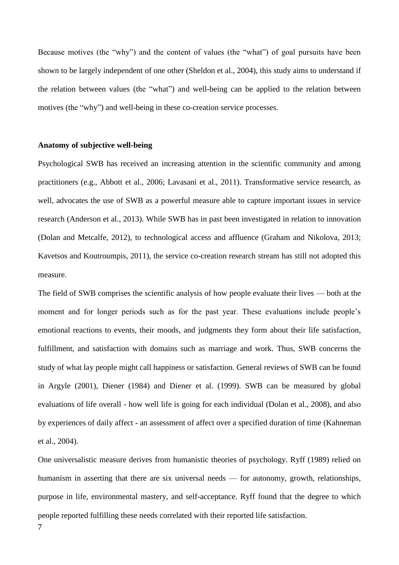Because motives (the "why") and the content of values (the "what") of goal pursuits have been shown to be largely independent of one other (Sheldon et al., 2004), this study aims to understand if the relation between values (the "what") and well-being can be applied to the relation between motives (the "why") and well-being in these co-creation service processes.

#### **Anatomy of subjective well-being**

Psychological SWB has received an increasing attention in the scientific community and among practitioners (e.g., Abbott et al., 2006; Lavasani et al., 2011). Transformative service research, as well, advocates the use of SWB as a powerful measure able to capture important issues in service research (Anderson et al., 2013). While SWB has in past been investigated in relation to innovation (Dolan and Metcalfe, 2012), to technological access and affluence (Graham and Nikolova, 2013; Kavetsos and Koutroumpis, 2011), the service co-creation research stream has still not adopted this measure.

The field of SWB comprises the scientific analysis of how people evaluate their lives — both at the moment and for longer periods such as for the past year. These evaluations include people's emotional reactions to events, their moods, and judgments they form about their life satisfaction, fulfillment, and satisfaction with domains such as marriage and work. Thus, SWB concerns the study of what lay people might call happiness or satisfaction. General reviews of SWB can be found in Argyle (2001), Diener (1984) and Diener et al. (1999). SWB can be measured by global evaluations of life overall - how well life is going for each individual (Dolan et al., 2008), and also by experiences of daily affect - an assessment of affect over a specified duration of time (Kahneman et al., 2004).

7 One universalistic measure derives from humanistic theories of psychology. Ryff (1989) relied on humanism in asserting that there are six universal needs — for autonomy, growth, relationships, purpose in life, environmental mastery, and self-acceptance. Ryff found that the degree to which people reported fulfilling these needs correlated with their reported life satisfaction.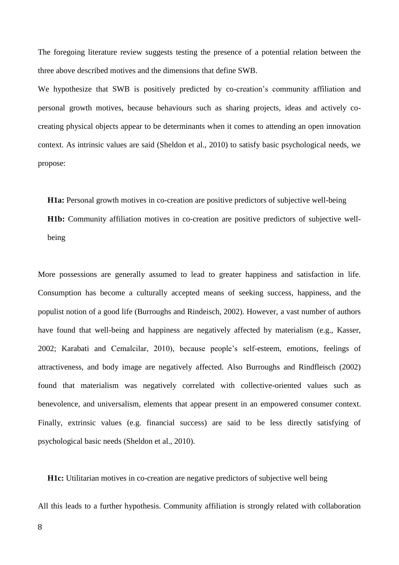The foregoing literature review suggests testing the presence of a potential relation between the three above described motives and the dimensions that define SWB.

We hypothesize that SWB is positively predicted by co-creation's community affiliation and personal growth motives, because behaviours such as sharing projects, ideas and actively cocreating physical objects appear to be determinants when it comes to attending an open innovation context. As intrinsic values are said (Sheldon et al., 2010) to satisfy basic psychological needs, we propose:

**H1a:** Personal growth motives in co-creation are positive predictors of subjective well-being

**H1b:** Community affiliation motives in co-creation are positive predictors of subjective wellbeing

More possessions are generally assumed to lead to greater happiness and satisfaction in life. Consumption has become a culturally accepted means of seeking success, happiness, and the populist notion of a good life (Burroughs and Rindeisch, 2002). However, a vast number of authors have found that well-being and happiness are negatively affected by materialism (e.g., Kasser, 2002; Karabati and Cemalcilar, 2010), because people's self-esteem, emotions, feelings of attractiveness, and body image are negatively affected. Also Burroughs and Rindfleisch (2002) found that materialism was negatively correlated with collective-oriented values such as benevolence, and universalism, elements that appear present in an empowered consumer context. Finally, extrinsic values (e.g. financial success) are said to be less directly satisfying of psychological basic needs (Sheldon et al., 2010).

**H1c:** Utilitarian motives in co-creation are negative predictors of subjective well being

All this leads to a further hypothesis. Community affiliation is strongly related with collaboration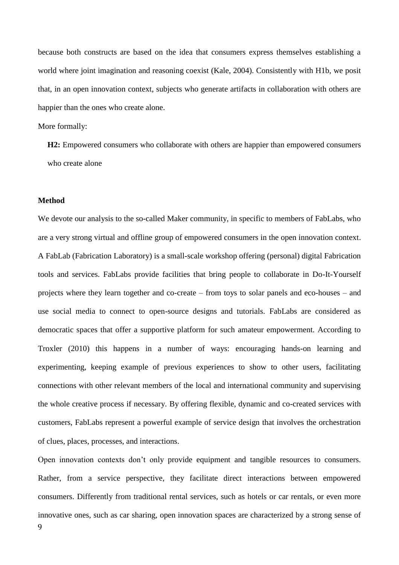because both constructs are based on the idea that consumers express themselves establishing a world where joint imagination and reasoning coexist (Kale, 2004). Consistently with H1b, we posit that, in an open innovation context, subjects who generate artifacts in collaboration with others are happier than the ones who create alone.

More formally:

**H2:** Empowered consumers who collaborate with others are happier than empowered consumers who create alone

#### **Method**

We devote our analysis to the so-called Maker community, in specific to members of FabLabs, who are a very strong virtual and offline group of empowered consumers in the open innovation context. A FabLab (Fabrication Laboratory) is a small-scale workshop offering (personal) digital Fabrication tools and services. FabLabs provide facilities that bring people to collaborate in Do-It-Yourself projects where they learn together and co-create – from toys to solar panels and eco-houses – and use social media to connect to open-source designs and tutorials. FabLabs are considered as democratic spaces that offer a supportive platform for such amateur empowerment. According to Troxler (2010) this happens in a number of ways: encouraging hands-on learning and experimenting, keeping example of previous experiences to show to other users, facilitating connections with other relevant members of the local and international community and supervising the whole creative process if necessary. By offering flexible, dynamic and co-created services with customers, FabLabs represent a powerful example of service design that involves the orchestration of clues, places, processes, and interactions.

9 Open innovation contexts don't only provide equipment and tangible resources to consumers. Rather, from a service perspective, they facilitate direct interactions between empowered consumers. Differently from traditional rental services, such as hotels or car rentals, or even more innovative ones, such as car sharing, open innovation spaces are characterized by a strong sense of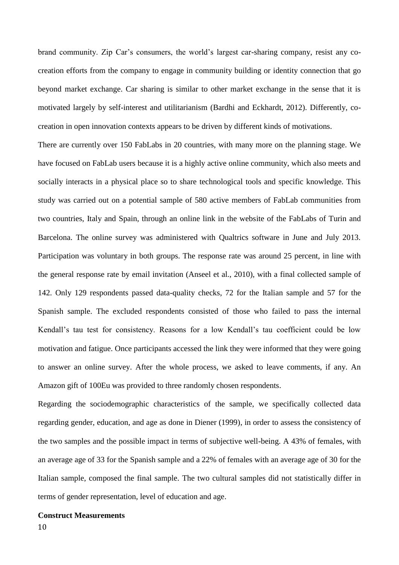brand community. Zip Car's consumers, the world's largest car-sharing company, resist any cocreation efforts from the company to engage in community building or identity connection that go beyond market exchange. Car sharing is similar to other market exchange in the sense that it is motivated largely by self-interest and utilitarianism (Bardhi and Eckhardt, 2012). Differently, cocreation in open innovation contexts appears to be driven by different kinds of motivations.

There are currently over 150 FabLabs in 20 countries, with many more on the planning stage. We have focused on FabLab users because it is a highly active online community, which also meets and socially interacts in a physical place so to share technological tools and specific knowledge. This study was carried out on a potential sample of 580 active members of FabLab communities from two countries, Italy and Spain, through an online link in the website of the FabLabs of Turin and Barcelona. The online survey was administered with Qualtrics software in June and July 2013. Participation was voluntary in both groups. The response rate was around 25 percent, in line with the general response rate by email invitation (Anseel et al., 2010), with a final collected sample of 142. Only 129 respondents passed data-quality checks, 72 for the Italian sample and 57 for the Spanish sample. The excluded respondents consisted of those who failed to pass the internal Kendall's tau test for consistency. Reasons for a low Kendall's tau coefficient could be low motivation and fatigue. Once participants accessed the link they were informed that they were going to answer an online survey. After the whole process, we asked to leave comments, if any. An Amazon gift of 100Eu was provided to three randomly chosen respondents.

Regarding the sociodemographic characteristics of the sample, we specifically collected data regarding gender, education, and age as done in Diener (1999), in order to assess the consistency of the two samples and the possible impact in terms of subjective well-being. A 43% of females, with an average age of 33 for the Spanish sample and a 22% of females with an average age of 30 for the Italian sample, composed the final sample. The two cultural samples did not statistically differ in terms of gender representation, level of education and age.

# **Construct Measurements**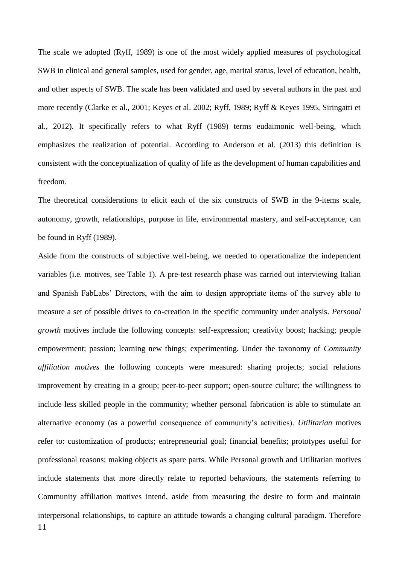The scale we adopted (Ryff, 1989) is one of the most widely applied measures of psychological SWB in clinical and general samples, used for gender, age, marital status, level of education, health, and other aspects of SWB. The scale has been validated and used by several authors in the past and more recently (Clarke et al., 2001; Keyes et al. 2002; Ryff, 1989; Ryff & Keyes 1995, Siringatti et al., 2012). It specifically refers to what Ryff (1989) terms eudaimonic well-being, which emphasizes the realization of potential. According to Anderson et al. (2013) this definition is consistent with the conceptualization of quality of life as the development of human capabilities and freedom.

The theoretical considerations to elicit each of the six constructs of SWB in the 9-items scale, autonomy, growth, relationships, purpose in life, environmental mastery, and self-acceptance, can be found in Ryff (1989).

11 Aside from the constructs of subjective well-being, we needed to operationalize the independent variables (i.e. motives, see Table 1). A pre-test research phase was carried out interviewing Italian and Spanish FabLabs' Directors, with the aim to design appropriate items of the survey able to measure a set of possible drives to co-creation in the specific community under analysis. *Personal growth* motives include the following concepts: self-expression; creativity boost; hacking; people empowerment; passion; learning new things; experimenting. Under the taxonomy of *Community affiliation motives* the following concepts were measured: sharing projects; social relations improvement by creating in a group; peer-to-peer support; open-source culture; the willingness to include less skilled people in the community; whether personal fabrication is able to stimulate an alternative economy (as a powerful consequence of community's activities). *Utilitarian* motives refer to: customization of products; entrepreneurial goal; financial benefits; prototypes useful for professional reasons; making objects as spare parts. While Personal growth and Utilitarian motives include statements that more directly relate to reported behaviours, the statements referring to Community affiliation motives intend, aside from measuring the desire to form and maintain interpersonal relationships, to capture an attitude towards a changing cultural paradigm. Therefore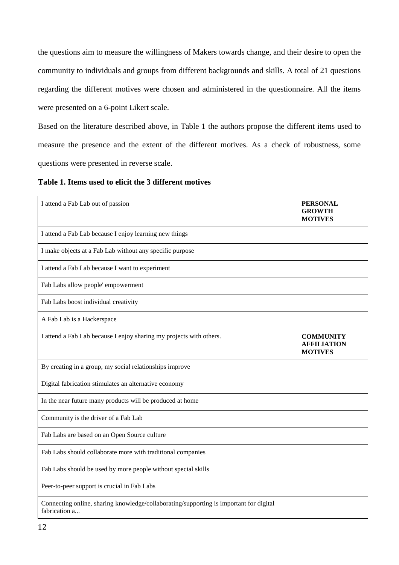the questions aim to measure the willingness of Makers towards change, and their desire to open the community to individuals and groups from different backgrounds and skills. A total of 21 questions regarding the different motives were chosen and administered in the questionnaire. All the items were presented on a 6-point Likert scale.

Based on the literature described above, in Table 1 the authors propose the different items used to measure the presence and the extent of the different motives. As a check of robustness, some questions were presented in reverse scale.

**Table 1. Items used to elicit the 3 different motives**

| I attend a Fab Lab out of passion                                                                       | <b>PERSONAL</b><br><b>GROWTH</b><br><b>MOTIVES</b>       |
|---------------------------------------------------------------------------------------------------------|----------------------------------------------------------|
| I attend a Fab Lab because I enjoy learning new things                                                  |                                                          |
| I make objects at a Fab Lab without any specific purpose                                                |                                                          |
| I attend a Fab Lab because I want to experiment                                                         |                                                          |
| Fab Labs allow people' empowerment                                                                      |                                                          |
| Fab Labs boost individual creativity                                                                    |                                                          |
| A Fab Lab is a Hackerspace                                                                              |                                                          |
| I attend a Fab Lab because I enjoy sharing my projects with others.                                     | <b>COMMUNITY</b><br><b>AFFILIATION</b><br><b>MOTIVES</b> |
| By creating in a group, my social relationships improve                                                 |                                                          |
| Digital fabrication stimulates an alternative economy                                                   |                                                          |
| In the near future many products will be produced at home                                               |                                                          |
| Community is the driver of a Fab Lab                                                                    |                                                          |
| Fab Labs are based on an Open Source culture                                                            |                                                          |
| Fab Labs should collaborate more with traditional companies                                             |                                                          |
| Fab Labs should be used by more people without special skills                                           |                                                          |
| Peer-to-peer support is crucial in Fab Labs                                                             |                                                          |
| Connecting online, sharing knowledge/collaborating/supporting is important for digital<br>fabrication a |                                                          |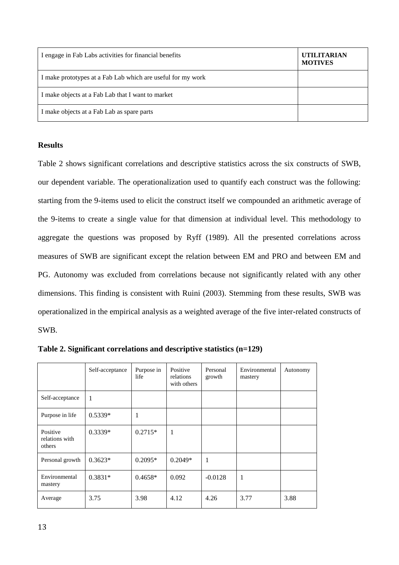| I engage in Fab Labs activities for financial benefits      | <b>UTILITARIAN</b><br><b>MOTIVES</b> |
|-------------------------------------------------------------|--------------------------------------|
| I make prototypes at a Fab Lab which are useful for my work |                                      |
| I make objects at a Fab Lab that I want to market           |                                      |
| I make objects at a Fab Lab as spare parts                  |                                      |

## **Results**

Table 2 shows significant correlations and descriptive statistics across the six constructs of SWB, our dependent variable. The operationalization used to quantify each construct was the following: starting from the 9-items used to elicit the construct itself we compounded an arithmetic average of the 9-items to create a single value for that dimension at individual level. This methodology to aggregate the questions was proposed by Ryff (1989). All the presented correlations across measures of SWB are significant except the relation between EM and PRO and between EM and PG. Autonomy was excluded from correlations because not significantly related with any other dimensions. This finding is consistent with Ruini (2003). Stemming from these results, SWB was operationalized in the empirical analysis as a weighted average of the five inter-related constructs of SWB.

|                                      | Self-acceptance | Purpose in<br>life | Positive<br>relations<br>with others | Personal<br>growth | Environmental<br>mastery | Autonomy |
|--------------------------------------|-----------------|--------------------|--------------------------------------|--------------------|--------------------------|----------|
| Self-acceptance                      | 1               |                    |                                      |                    |                          |          |
| Purpose in life                      | $0.5339*$       | 1                  |                                      |                    |                          |          |
| Positive<br>relations with<br>others | $0.3339*$       | $0.2715*$          | 1                                    |                    |                          |          |
| Personal growth                      | $0.3623*$       | $0.2095*$          | $0.2049*$                            | 1                  |                          |          |
| Environmental<br>mastery             | $0.3831*$       | $0.4658*$          | 0.092                                | $-0.0128$          | 1                        |          |
| Average                              | 3.75            | 3.98               | 4.12                                 | 4.26               | 3.77                     | 3.88     |

**Table 2. Significant correlations and descriptive statistics (n=129)**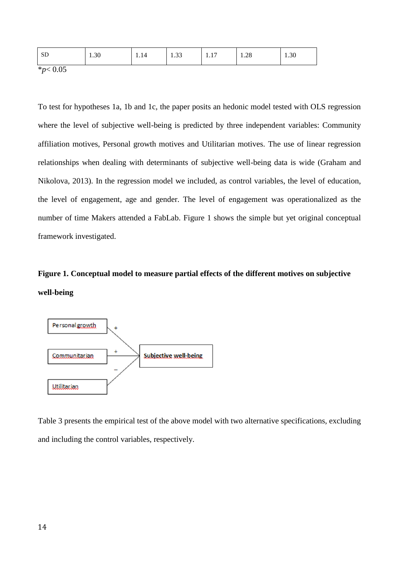| $\mathbf{C}$ $\mathbf{\Gamma}$<br>$\bigcap$<br>$\cap$<br>nη<br>$\sim$<br>1.30<br>1.30<br>עט<br>1.40<br>1.1<br>1.11<br>ر ر. د |  |
|------------------------------------------------------------------------------------------------------------------------------|--|
|------------------------------------------------------------------------------------------------------------------------------|--|

\**p*< 0.05

To test for hypotheses 1a, 1b and 1c, the paper posits an hedonic model tested with OLS regression where the level of subjective well-being is predicted by three independent variables: Community affiliation motives, Personal growth motives and Utilitarian motives. The use of linear regression relationships when dealing with determinants of subjective well-being data is wide (Graham and Nikolova, 2013). In the regression model we included, as control variables, the level of education, the level of engagement, age and gender. The level of engagement was operationalized as the number of time Makers attended a FabLab. Figure 1 shows the simple but yet original conceptual framework investigated.

# **Figure 1. Conceptual model to measure partial effects of the different motives on subjective well-being**



Table 3 presents the empirical test of the above model with two alternative specifications, excluding and including the control variables, respectively.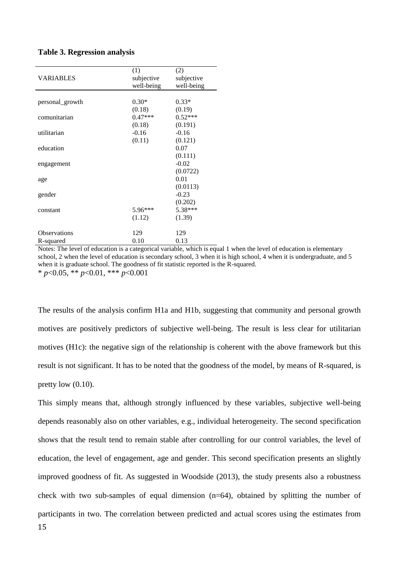|  | <b>Table 3. Regression analysis</b> |  |
|--|-------------------------------------|--|
|  |                                     |  |

|                     | (1)        | (2)        |
|---------------------|------------|------------|
| <b>VARIABLES</b>    | subjective | subjective |
|                     | well-being | well-being |
|                     |            |            |
| personal_growth     | $0.30*$    | $0.33*$    |
|                     | (0.18)     | (0.19)     |
| comunitarian        | $0.47***$  | $0.52***$  |
|                     | (0.18)     | (0.191)    |
| utilitarian         | $-0.16$    | $-0.16$    |
|                     | (0.11)     | (0.121)    |
| education           |            | 0.07       |
|                     |            | (0.111)    |
| engagement          |            | $-0.02$    |
|                     |            | (0.0722)   |
| age                 |            | 0.01       |
|                     |            | (0.0113)   |
| gender              |            | $-0.23$    |
|                     |            | (0.202)    |
| constant            | 5.96***    | 5.38***    |
|                     | (1.12)     | (1.39)     |
| <b>Observations</b> | 129        | 129        |
| R-squared           | 0.10       | 0.13       |
|                     |            |            |

Notes: The level of education is a categorical variable, which is equal 1 when the level of education is elementary school, 2 when the level of education is secondary school, 3 when it is high school, 4 when it is undergraduate, and 5 when it is graduate school. The goodness of fit statistic reported is the R-squared. \* *p*<0.05, \*\* *p*<0.01, \*\*\* *p*<0.001

The results of the analysis confirm H1a and H1b, suggesting that community and personal growth motives are positively predictors of subjective well-being. The result is less clear for utilitarian motives (H1c): the negative sign of the relationship is coherent with the above framework but this result is not significant. It has to be noted that the goodness of the model, by means of R-squared, is pretty low  $(0.10)$ .

15 This simply means that, although strongly influenced by these variables, subjective well-being depends reasonably also on other variables, e.g., individual heterogeneity. The second specification shows that the result tend to remain stable after controlling for our control variables, the level of education, the level of engagement, age and gender. This second specification presents an slightly improved goodness of fit. As suggested in Woodside (2013), the study presents also a robustness check with two sub-samples of equal dimension (n=64), obtained by splitting the number of participants in two. The correlation between predicted and actual scores using the estimates from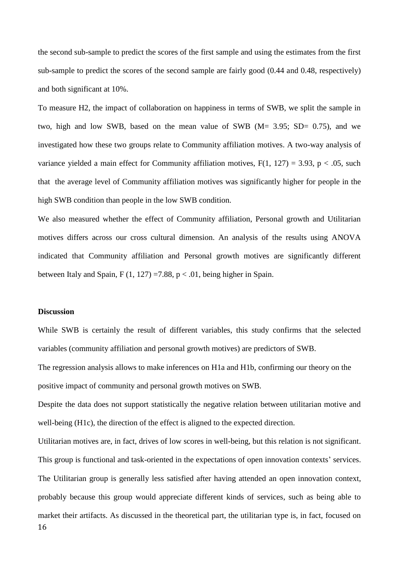the second sub-sample to predict the scores of the first sample and using the estimates from the first sub-sample to predict the scores of the second sample are fairly good (0.44 and 0.48, respectively) and both significant at 10%.

To measure H2, the impact of collaboration on happiness in terms of SWB, we split the sample in two, high and low SWB, based on the mean value of SWB  $(M = 3.95; SD = 0.75)$ , and we investigated how these two groups relate to Community affiliation motives. A two-way analysis of variance yielded a main effect for Community affiliation motives,  $F(1, 127) = 3.93$ ,  $p < .05$ , such that the average level of Community affiliation motives was significantly higher for people in the high SWB condition than people in the low SWB condition.

We also measured whether the effect of Community affiliation, Personal growth and Utilitarian motives differs across our cross cultural dimension. An analysis of the results using ANOVA indicated that Community affiliation and Personal growth motives are significantly different between Italy and Spain,  $F(1, 127) = 7.88$ ,  $p < .01$ , being higher in Spain.

## **Discussion**

While SWB is certainly the result of different variables, this study confirms that the selected variables (community affiliation and personal growth motives) are predictors of SWB.

The regression analysis allows to make inferences on H1a and H1b, confirming our theory on the positive impact of community and personal growth motives on SWB.

Despite the data does not support statistically the negative relation between utilitarian motive and well-being (H1c), the direction of the effect is aligned to the expected direction.

16 Utilitarian motives are, in fact, drives of low scores in well-being, but this relation is not significant. This group is functional and task-oriented in the expectations of open innovation contexts' services. The Utilitarian group is generally less satisfied after having attended an open innovation context, probably because this group would appreciate different kinds of services, such as being able to market their artifacts. As discussed in the theoretical part, the utilitarian type is, in fact, focused on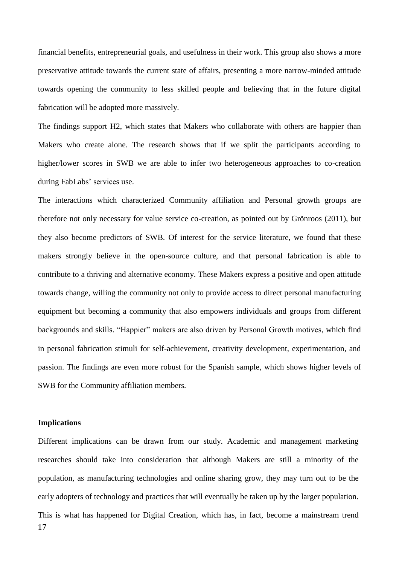financial benefits, entrepreneurial goals, and usefulness in their work. This group also shows a more preservative attitude towards the current state of affairs, presenting a more narrow-minded attitude towards opening the community to less skilled people and believing that in the future digital fabrication will be adopted more massively.

The findings support H2, which states that Makers who collaborate with others are happier than Makers who create alone. The research shows that if we split the participants according to higher/lower scores in SWB we are able to infer two heterogeneous approaches to co-creation during FabLabs' services use.

The interactions which characterized Community affiliation and Personal growth groups are therefore not only necessary for value service co-creation, as pointed out by Grönroos (2011), but they also become predictors of SWB. Of interest for the service literature, we found that these makers strongly believe in the open-source culture, and that personal fabrication is able to contribute to a thriving and alternative economy. These Makers express a positive and open attitude towards change, willing the community not only to provide access to direct personal manufacturing equipment but becoming a community that also empowers individuals and groups from different backgrounds and skills. "Happier" makers are also driven by Personal Growth motives, which find in personal fabrication stimuli for self-achievement, creativity development, experimentation, and passion. The findings are even more robust for the Spanish sample, which shows higher levels of SWB for the Community affiliation members*.* 

## **Implications**

17 Different implications can be drawn from our study. Academic and management marketing researches should take into consideration that although Makers are still a minority of the population, as manufacturing technologies and online sharing grow, they may turn out to be the early adopters of technology and practices that will eventually be taken up by the larger population. This is what has happened for Digital Creation, which has, in fact, become a mainstream trend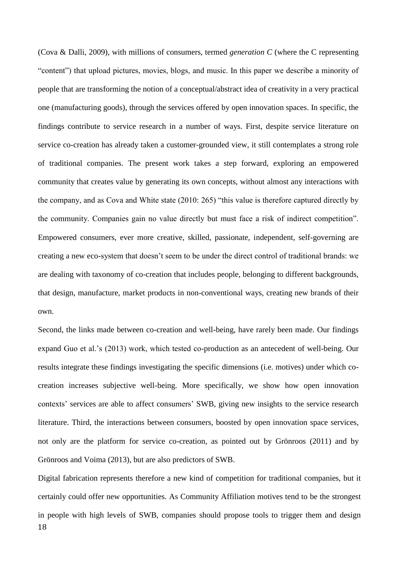(Cova & Dalli, 2009), with millions of consumers, termed *generation C* (where the C representing "content") that upload pictures, movies, blogs, and music. In this paper we describe a minority of people that are transforming the notion of a conceptual/abstract idea of creativity in a very practical one (manufacturing goods), through the services offered by open innovation spaces. In specific, the findings contribute to service research in a number of ways. First, despite service literature on service co-creation has already taken a customer-grounded view, it still contemplates a strong role of traditional companies. The present work takes a step forward, exploring an empowered community that creates value by generating its own concepts, without almost any interactions with the company, and as Cova and White state (2010: 265) "this value is therefore captured directly by the community. Companies gain no value directly but must face a risk of indirect competition". Empowered consumers, ever more creative, skilled, passionate, independent, self-governing are creating a new eco-system that doesn't seem to be under the direct control of traditional brands: we are dealing with taxonomy of co-creation that includes people, belonging to different backgrounds, that design, manufacture, market products in non-conventional ways, creating new brands of their own.

Second, the links made between co-creation and well-being, have rarely been made. Our findings expand Guo et al.'s (2013) work, which tested co-production as an antecedent of well-being. Our results integrate these findings investigating the specific dimensions (i.e. motives) under which cocreation increases subjective well-being. More specifically, we show how open innovation contexts' services are able to affect consumers' SWB, giving new insights to the service research literature. Third, the interactions between consumers, boosted by open innovation space services, not only are the platform for service co-creation, as pointed out by Grönroos (2011) and by Grönroos and Voima (2013), but are also predictors of SWB.

18 Digital fabrication represents therefore a new kind of competition for traditional companies, but it certainly could offer new opportunities. As Community Affiliation motives tend to be the strongest in people with high levels of SWB, companies should propose tools to trigger them and design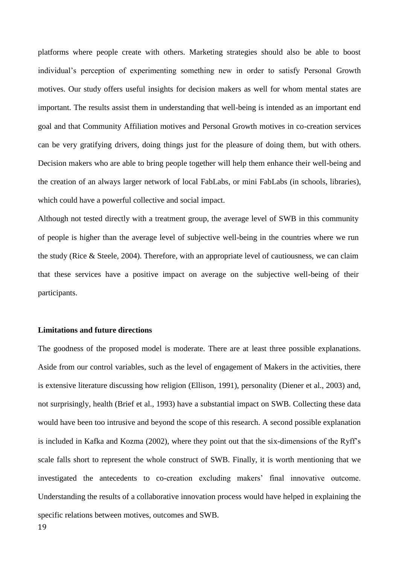platforms where people create with others. Marketing strategies should also be able to boost individual's perception of experimenting something new in order to satisfy Personal Growth motives. Our study offers useful insights for decision makers as well for whom mental states are important. The results assist them in understanding that well-being is intended as an important end goal and that Community Affiliation motives and Personal Growth motives in co-creation services can be very gratifying drivers, doing things just for the pleasure of doing them, but with others. Decision makers who are able to bring people together will help them enhance their well-being and the creation of an always larger network of local FabLabs, or mini FabLabs (in schools, libraries), which could have a powerful collective and social impact.

Although not tested directly with a treatment group, the average level of SWB in this community of people is higher than the average level of subjective well-being in the countries where we run the study (Rice & Steele, 2004). Therefore, with an appropriate level of cautiousness, we can claim that these services have a positive impact on average on the subjective well-being of their participants.

#### **Limitations and future directions**

19 The goodness of the proposed model is moderate. There are at least three possible explanations. Aside from our control variables, such as the level of engagement of Makers in the activities, there is extensive literature discussing how religion (Ellison, 1991), personality (Diener et al., 2003) and, not surprisingly, health (Brief et al., 1993) have a substantial impact on SWB. Collecting these data would have been too intrusive and beyond the scope of this research. A second possible explanation is included in Kafka and Kozma (2002), where they point out that the six-dimensions of the Ryff's scale falls short to represent the whole construct of SWB. Finally, it is worth mentioning that we investigated the antecedents to co-creation excluding makers' final innovative outcome. Understanding the results of a collaborative innovation process would have helped in explaining the specific relations between motives, outcomes and SWB.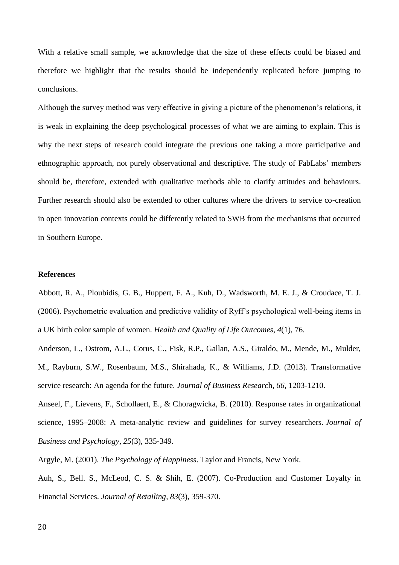With a relative small sample, we acknowledge that the size of these effects could be biased and therefore we highlight that the results should be independently replicated before jumping to conclusions.

Although the survey method was very effective in giving a picture of the phenomenon's relations, it is weak in explaining the deep psychological processes of what we are aiming to explain. This is why the next steps of research could integrate the previous one taking a more participative and ethnographic approach, not purely observational and descriptive. The study of FabLabs' members should be, therefore, extended with qualitative methods able to clarify attitudes and behaviours. Further research should also be extended to other cultures where the drivers to service co-creation in open innovation contexts could be differently related to SWB from the mechanisms that occurred in Southern Europe.

### **References**

Abbott, R. A., Ploubidis, G. B., Huppert, F. A., Kuh, D., Wadsworth, M. E. J., & Croudace, T. J. (2006). Psychometric evaluation and predictive validity of Ryff's psychological well-being items in a UK birth color sample of women. *Health and Quality of Life Outcomes, 4*(1), 76.

Anderson, L., Ostrom, A.L., Corus, C., Fisk, R.P., Gallan, A.S., Giraldo, M., Mende, M., Mulder, M., Rayburn, S.W., Rosenbaum, M.S., Shirahada, K., & Williams, J.D. (2013). Transformative service research: An agenda for the future. *Journal of Business Researc*h, *66*, 1203-1210.

Anseel, F., Lievens, F., Schollaert, E., & Choragwicka, B. (2010). Response rates in organizational science, 1995–2008: A meta-analytic review and guidelines for survey researchers. *Journal of Business and Psychology*, *25*(3), 335-349.

Argyle, M. (2001). *The Psychology of Happiness*. Taylor and Francis, New York.

Auh, S., Bell. S., McLeod, C. S. & Shih, E. (2007). Co-Production and Customer Loyalty in Financial Services. *Journal of Retailing, 83*(3), 359-370.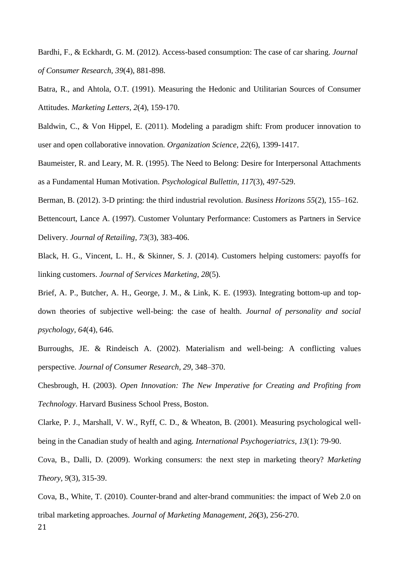Bardhi, F., & Eckhardt, G. M. (2012). Access-based consumption: The case of car sharing. *Journal of Consumer Research, 39*(4), 881-898.

Batra, R., and Ahtola, O.T. (1991). Measuring the Hedonic and Utilitarian Sources of Consumer Attitudes. *Marketing Letters, 2*(4), 159-170.

Baldwin, C., & Von Hippel, E. (2011). Modeling a paradigm shift: From producer innovation to user and open collaborative innovation. *Organization Science, 22*(6), 1399-1417.

Baumeister, R. and Leary, M. R. (1995). The Need to Belong: Desire for Interpersonal Attachments as a Fundamental Human Motivation. *Psychological Bullettin, 117*(3), 497-529.

Berman, B. (2012). 3-D printing: the third industrial revolution. *Business Horizons 55*(2), 155–162.

Bettencourt, Lance A. (1997). Customer Voluntary Performance: Customers as Partners in Service Delivery. *Journal of Retailing, 73*(3), 383-406.

Black, H. G., Vincent, L. H., & Skinner, S. J. (2014). Customers helping customers: payoffs for linking customers. *Journal of Services Marketing*, *28*(5).

Brief, A. P., Butcher, A. H., George, J. M., & Link, K. E. (1993). Integrating bottom-up and topdown theories of subjective well-being: the case of health. *Journal of personality and social psychology, 64*(4), 646.

Burroughs, JE. & Rindeisch A. (2002). Materialism and well-being: A conflicting values perspective. *Journal of Consumer Research, 29*, 348–370.

Chesbrough, H. (2003). *Open Innovation: The New Imperative for Creating and Profiting from Technology*. Harvard Business School Press, Boston.

Clarke, P. J., Marshall, V. W., Ryff, C. D., & Wheaton, B. (2001). Measuring psychological wellbeing in the Canadian study of health and aging. *International Psychogeriatrics, 13*(1): 79-90.

Cova, B., Dalli, D. (2009). Working consumers: the next step in marketing theory? *Marketing Theory, 9*(3), 315-39.

21 Cova, B., White, T. (2010). Counter-brand and alter-brand communities: the impact of Web 2.0 on tribal marketing approaches. *Journal of Marketing Management, 26***(**3), 256-270.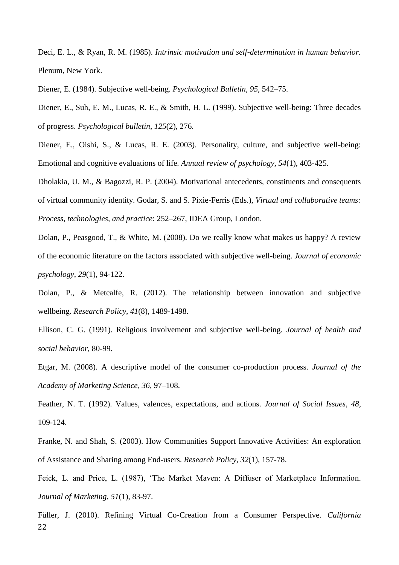Deci, E. L., & Ryan, R. M. (1985). *Intrinsic motivation and self-determination in human behavior.*  Plenum, New York.

Diener, E. (1984). Subjective well-being. *Psychological Bulletin, 95*, 542–75.

Diener, E., Suh, E. M., Lucas, R. E., & Smith, H. L. (1999). Subjective well-being: Three decades of progress. *Psychological bulletin, 125*(2), 276.

Diener, E., Oishi, S., & Lucas, R. E. (2003). Personality, culture, and subjective well-being: Emotional and cognitive evaluations of life. *Annual review of psychology, 54*(1), 403-425.

Dholakia, U. M., & Bagozzi, R. P. (2004). Motivational antecedents, constituents and consequents of virtual community identity. Godar, S. and S. Pixie-Ferris (Eds.), *Virtual and collaborative teams: Process, technologies, and practice*: 252–267, IDEA Group, London.

Dolan, P., Peasgood, T., & White, M. (2008). Do we really know what makes us happy? A review of the economic literature on the factors associated with subjective well-being. *Journal of economic psychology*, *29*(1), 94-122.

Dolan, P., & Metcalfe, R. (2012). The relationship between innovation and subjective wellbeing. *Research Policy, 41*(8), 1489-1498.

Ellison, C. G. (1991). Religious involvement and subjective well-being. *Journal of health and social behavior,* 80-99.

Etgar, M. (2008). A descriptive model of the consumer co-production process. *Journal of the Academy of Marketing Science, 36*, 97–108.

Feather, N. T. (1992). Values, valences, expectations, and actions. *Journal of Social Issues, 48*, 109-124.

Franke, N. and Shah, S. (2003). How Communities Support Innovative Activities: An exploration of Assistance and Sharing among End-users. *Research Policy, 32*(1), 157-78.

Feick, L. and Price, L. (1987), 'The Market Maven: A Diffuser of Marketplace Information. *Journal of Marketing, 51*(1), 83-97.

22 Füller, J. (2010). Refining Virtual Co-Creation from a Consumer Perspective. *California*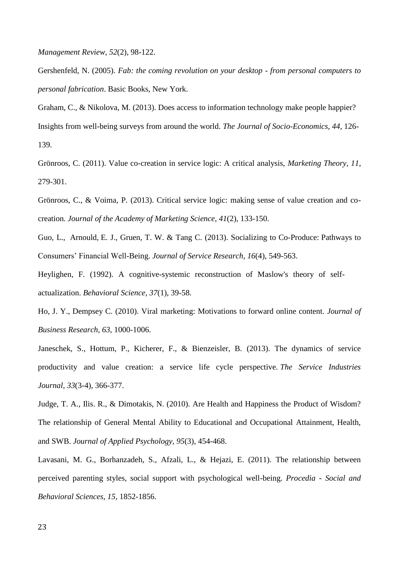*Management Review, 52*(2), 98-122.

Gershenfeld, N. (2005). *Fab: the coming revolution on your desktop - from personal computers to personal fabrication*. Basic Books, New York.

Graham, C., & Nikolova, M. (2013). Does access to information technology make people happier? Insights from well-being surveys from around the world. *The Journal of Socio-Economics*, *44*, 126- 139.

Grönroos, C. (2011). Value co-creation in service logic: A critical analysis, *Marketing Theory, 11*, 279-301.

Grönroos, C., & Voima, P. (2013). Critical service logic: making sense of value creation and cocreation. *Journal of the Academy of Marketing Science*, *41*(2), 133-150.

Guo, L., Arnould, E. J., Gruen, T. W. & Tang C. (2013). Socializing to Co-Produce: Pathways to Consumers' Financial Well-Being. *Journal of Service Research, 16*(4), 549-563.

Heylighen, F. (1992). A cognitive-systemic reconstruction of Maslow's theory of selfactualization. *Behavioral Science, 37*(1), 39-58.

Ho, J. Y., Dempsey C. (2010). Viral marketing: Motivations to forward online content. *Journal of Business Research, 63*, 1000-1006.

Janeschek, S., Hottum, P., Kicherer, F., & Bienzeisler, B. (2013). The dynamics of service productivity and value creation: a service life cycle perspective. *The Service Industries Journal*, *33*(3-4), 366-377.

Judge, T. A., Ilis. R., & Dimotakis, N. (2010). Are Health and Happiness the Product of Wisdom? The relationship of General Mental Ability to Educational and Occupational Attainment, Health, and SWB. *Journal of Applied Psychology, 95*(3), 454-468.

Lavasani, M. G., Borhanzadeh, S., Afzali, L., & Hejazi, E. (2011). The relationship between perceived parenting styles, social support with psychological well-being. *Procedia - Social and Behavioral Sciences, 15,* 1852-1856.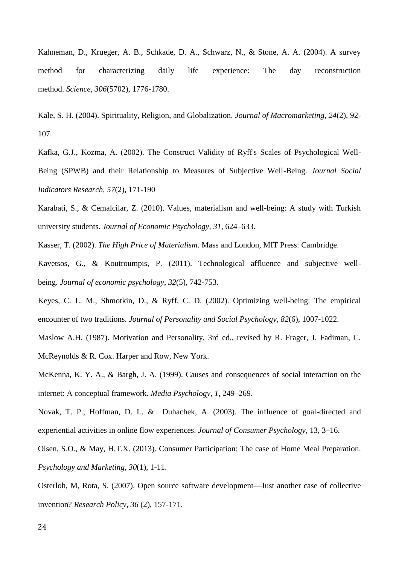Kahneman, D., Krueger, A. B., Schkade, D. A., Schwarz, N., & Stone, A. A. (2004). A survey method for characterizing daily life experience: The day reconstruction method. *Science*, *306*(5702), 1776-1780.

Kale, S. H. (2004). Spirituality, Religion, and Globalization. *Journal of Macromarketing, 24*(2), 92- 107.

Kafka, G.J., Kozma, A. (2002). The Construct Validity of Ryff's Scales of Psychological Well-Being (SPWB) and their Relationship to Measures of Subjective Well-Being. *Journal Social Indicators Research, 57*(2), 171-190

Karabati, S., & Cemalcilar, Z. (2010). Values, materialism and well-being: A study with Turkish university students. *Journal of Economic Psychology, 31*, 624–633.

Kasser, T. (2002). *The High Price of Materialism*. Mass and London, MIT Press: Cambridge.

Kavetsos, G., & Koutroumpis, P. (2011). Technological affluence and subjective wellbeing. *Journal of economic psychology*, *32*(5), 742-753.

Keyes, C. L. M., Shmotkin, D., & Ryff, C. D. (2002). Optimizing well-being: The empirical encounter of two traditions. *Journal of Personality and Social Psychology, 82*(6), 1007-1022.

Maslow A.H. (1987). Motivation and Personality, 3rd ed., revised by R. Frager, J. Fadiman, C. McReynolds & R. Cox. Harper and Row, New York.

McKenna, K. Y. A., & Bargh, J. A. (1999). Causes and consequences of social interaction on the internet: A conceptual framework. *Media Psychology, 1*, 249–269.

Novak, T. P., Hoffman, D. L. & Duhachek, A. (2003). The influence of goal-directed and experiential activities in online flow experiences. *Journal of Consumer Psychology,* 13, 3–16.

Olsen, S.O., & May, H.T.X. (2013). Consumer Participation: The case of Home Meal Preparation. *Psychology and Marketing, 30*(1), 1-11.

Osterloh, M, Rota, S. (2007). Open source software development—Just another case of collective invention? *Research Policy, 36* (2), 157-171.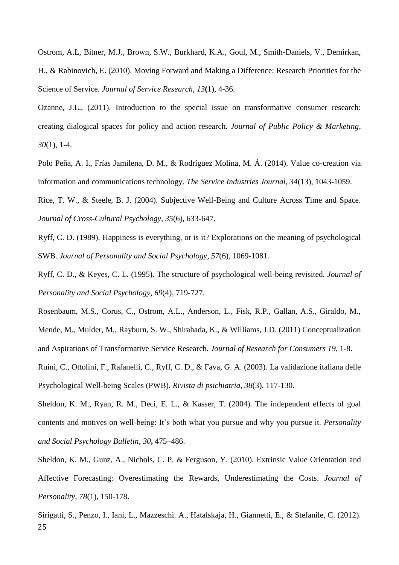Ostrom, A.L, Bitner, M.J., Brown, S.W., Burkhard, K.A., Goul, M., Smith-Daniels, V., Demirkan, H., & Rabinovich, E. (2010). Moving Forward and Making a Difference: Research Priorities for the Science of Service. *Journal of Service Research, 13***(**1), 4-36.

Ozanne, J.L., (2011). Introduction to the special issue on transformative consumer research: creating dialogical spaces for policy and action research. *Journal of Public Policy & Marketing, 30*(1), 1-4.

Polo Peña, A. I., Frías Jamilena, D. M., & Rodríguez Molina, M. Á. (2014). Value co-creation via information and communications technology. *The Service Industries Journal, 34*(13), 1043-1059.

Rice, T. W., & Steele, B. J. (2004). Subjective Well-Being and Culture Across Time and Space. *Journal of Cross-Cultural Psychology, 35*(6), 633-647.

Ryff, C. D. (1989). Happiness is everything, or is it? Explorations on the meaning of psychological SWB. *Journal of Personality and Social Psychology, 57*(6), 1069-1081.

Ryff, C. D., & Keyes, C. L. (1995). The structure of psychological well-being revisited. *Journal of Personality and Social Psychology, 69*(4), 719-727.

Rosenbaum, M.S., Corus, C., Ostrom, A.L., Anderson, L., Fisk, R.P., Gallan, A.S., Giraldo, M., Mende, M., Mulder, M., Rayburn, S. W., Shirahada, K., & Williams, J.D. (2011) Conceptualization and Aspirations of Transformative Service Research. *Journal of Research for Consumers 19*, 1-8.

Ruini, C., Ottolini, F., Rafanelli, C., Ryff, C. D., & Fava, G. A. (2003). La validazione italiana delle Psychological Well-being Scales (PWB). *Rivista di psichiatria*, *38*(3), 117-130.

Sheldon, K. M., Ryan, R. M., Deci, E. L., & Kasser, T. (2004). The independent effects of goal contents and motives on well-being: It's both what you pursue and why you pursue it. *Personality and Social Psychology Bulletin, 30***,** 475–486.

Sheldon, K. M., Gunz, A., Nichols, C. P. & Ferguson, Y. (2010). Extrinsic Value Orientation and Affective Forecasting: Overestimating the Rewards, Underestimating the Costs. *Journal of Personality, 78*(1), 150-178.

25 Sirigatti, S., Penzo, I., Iani, L., Mazzeschi. A., Hatalskaja, H., Giannetti, E., & Stefanile, C. (2012).